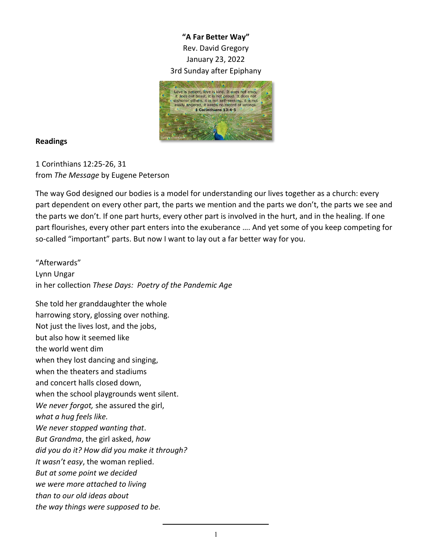## **"A Far Better Way"** Rev. David Gregory January 23, 2022 3rd Sunday after Epiphany



## **Readings**

1 Corinthians 12:25-26, 31 from *The Message* by Eugene Peterson

The way God designed our bodies is a model for understanding our lives together as a church: every part dependent on every other part, the parts we mention and the parts we don't, the parts we see and the parts we don't. If one part hurts, every other part is involved in the hurt, and in the healing. If one part flourishes, every other part enters into the exuberance …. And yet some of you keep competing for so-called "important" parts. But now I want to lay out a far better way for you.

"Afterwards" Lynn Ungar in her collection *These Days: Poetry of the Pandemic Age*

She told her granddaughter the whole harrowing story, glossing over nothing. Not just the lives lost, and the jobs, but also how it seemed like the world went dim when they lost dancing and singing, when the theaters and stadiums and concert halls closed down, when the school playgrounds went silent. *We never forgot,* she assured the girl, *what a hug feels like. We never stopped wanting that*. *But Grandma*, the girl asked, *how did you do it? How did you make it through? It wasn't easy*, the woman replied. *But at some point we decided we were more attached to living than to our old ideas about the way things were supposed to be.*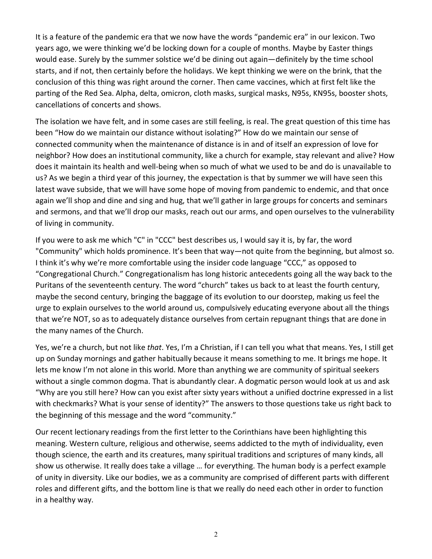It is a feature of the pandemic era that we now have the words "pandemic era" in our lexicon. Two years ago, we were thinking we'd be locking down for a couple of months. Maybe by Easter things would ease. Surely by the summer solstice we'd be dining out again—definitely by the time school starts, and if not, then certainly before the holidays. We kept thinking we were on the brink, that the conclusion of this thing was right around the corner. Then came vaccines, which at first felt like the parting of the Red Sea. Alpha, delta, omicron, cloth masks, surgical masks, N95s, KN95s, booster shots, cancellations of concerts and shows.

The isolation we have felt, and in some cases are still feeling, is real. The great question of this time has been "How do we maintain our distance without isolating?" How do we maintain our sense of connected community when the maintenance of distance is in and of itself an expression of love for neighbor? How does an institutional community, like a church for example, stay relevant and alive? How does it maintain its health and well-being when so much of what we used to be and do is unavailable to us? As we begin a third year of this journey, the expectation is that by summer we will have seen this latest wave subside, that we will have some hope of moving from pandemic to endemic, and that once again we'll shop and dine and sing and hug, that we'll gather in large groups for concerts and seminars and sermons, and that we'll drop our masks, reach out our arms, and open ourselves to the vulnerability of living in community.

If you were to ask me which "C" in "CCC" best describes us, I would say it is, by far, the word "Community" which holds prominence. It's been that way—not quite from the beginning, but almost so. I think it's why we're more comfortable using the insider code language "CCC," as opposed to "Congregational Church." Congregationalism has long historic antecedents going all the way back to the Puritans of the seventeenth century. The word "church" takes us back to at least the fourth century, maybe the second century, bringing the baggage of its evolution to our doorstep, making us feel the urge to explain ourselves to the world around us, compulsively educating everyone about all the things that we're NOT, so as to adequately distance ourselves from certain repugnant things that are done in the many names of the Church.

Yes, we're a church, but not like *that*. Yes, I'm a Christian, if I can tell you what that means. Yes, I still get up on Sunday mornings and gather habitually because it means something to me. It brings me hope. It lets me know I'm not alone in this world. More than anything we are community of spiritual seekers without a single common dogma. That is abundantly clear. A dogmatic person would look at us and ask "Why are you still here? How can you exist after sixty years without a unified doctrine expressed in a list with checkmarks? What is your sense of identity?" The answers to those questions take us right back to the beginning of this message and the word "community."

Our recent lectionary readings from the first letter to the Corinthians have been highlighting this meaning. Western culture, religious and otherwise, seems addicted to the myth of individuality, even though science, the earth and its creatures, many spiritual traditions and scriptures of many kinds, all show us otherwise. It really does take a village … for everything. The human body is a perfect example of unity in diversity. Like our bodies, we as a community are comprised of different parts with different roles and different gifts, and the bottom line is that we really do need each other in order to function in a healthy way.